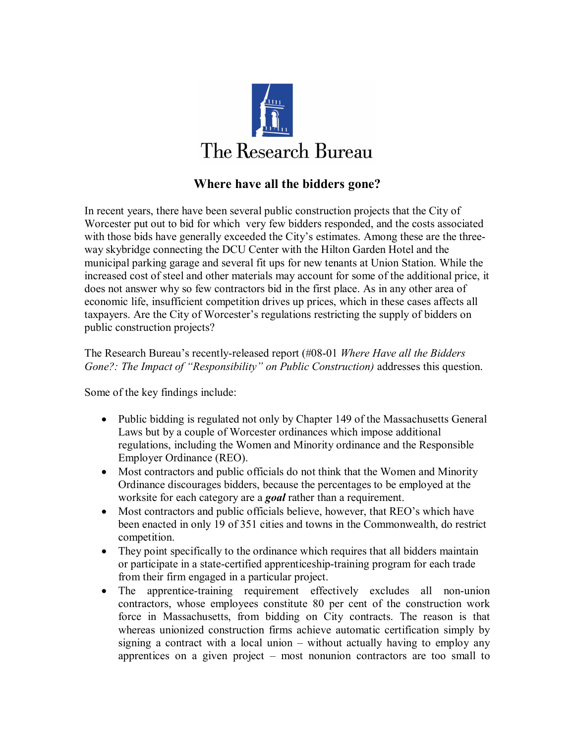

## **Where have all the bidders gone?**

In recent years, there have been several public construction projects that the City of Worcester put out to bid for which very few bidders responded, and the costs associated with those bids have generally exceeded the City's estimates. Among these are the threeway skybridge connecting the DCU Center with the Hilton Garden Hotel and the municipal parking garage and several fit ups for new tenants at Union Station. While the increased cost of steel and other materials may account for some of the additional price, it does not answer why so few contractors bid in the first place. As in any other area of economic life, insufficient competition drives up prices, which in these cases affects all taxpayers. Are the City of Worcester's regulations restricting the supply of bidders on public construction projects?

The Research Bureau's recently-released report (#08-01 *Where Have all the Bidders Gone?: The Impact of "Responsibility" on Public Construction)* addresses this question.

Some of the key findings include:

- Public bidding is regulated not only by Chapter 149 of the Massachusetts General Laws but by a couple of Worcester ordinances which impose additional regulations, including the Women and Minority ordinance and the Responsible Employer Ordinance (REO).
- Most contractors and public officials do not think that the Women and Minority Ordinance discourages bidders, because the percentages to be employed at the worksite for each category are a *goal* rather than a requirement.
- · Most contractors and public officials believe, however, that REO's which have been enacted in only 19 of 351 cities and towns in the Commonwealth, do restrict competition.
- They point specifically to the ordinance which requires that all bidders maintain or participate in a state-certified apprenticeship-training program for each trade from their firm engaged in a particular project.
- The apprentice-training requirement effectively excludes all non-union contractors, whose employees constitute 80 per cent of the construction work force in Massachusetts, from bidding on City contracts. The reason is that whereas unionized construction firms achieve automatic certification simply by signing a contract with a local union  $-$  without actually having to employ any apprentices on a given project  $-$  most nonunion contractors are too small to